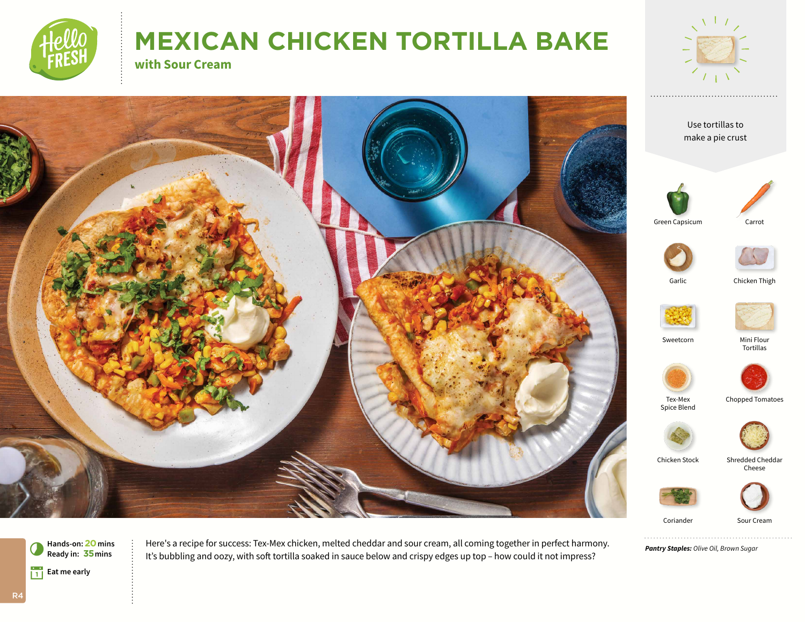

# **MEXICAN CHICKEN TORTILLA BAKE**

**with Sour Cream**



Coriander Sour Cream

*Pantry Staples: Olive Oil, Brown Sugar*



Here's a recipe for success: Tex-Mex chicken, melted cheddar and sour cream, all coming together in perfect harmony. It's bubbling and oozy, with soft tortilla soaked in sauce below and crispy edges up top *–* how could it not impress?

R4